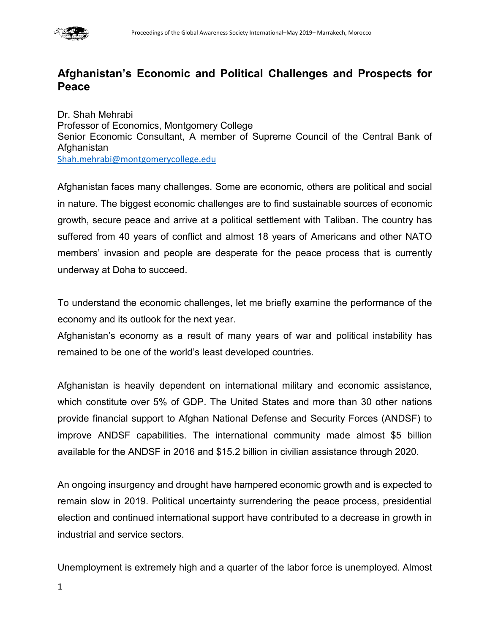

## **Afghanistan's Economic and Political Challenges and Prospects for Peace**

Dr. Shah Mehrabi Professor of Economics, Montgomery College Senior Economic Consultant, A member of Supreme Council of the Central Bank of Afghanistan [Shah.mehrabi@montgomerycollege.edu](mailto:Shah.mehrabi@montgomerycollege.edu)

Afghanistan faces many challenges. Some are economic, others are political and social in nature. The biggest economic challenges are to find sustainable sources of economic growth, secure peace and arrive at a political settlement with Taliban. The country has suffered from 40 years of conflict and almost 18 years of Americans and other NATO members' invasion and people are desperate for the peace process that is currently underway at Doha to succeed.

To understand the economic challenges, let me briefly examine the performance of the economy and its outlook for the next year.

Afghanistan's economy as a result of many years of war and political instability has remained to be one of the world's least developed countries.

Afghanistan is heavily dependent on international military and economic assistance, which constitute over 5% of GDP. The United States and more than 30 other nations provide financial support to Afghan National Defense and Security Forces (ANDSF) to improve ANDSF capabilities. The international community made almost \$5 billion available for the ANDSF in 2016 and \$15.2 billion in civilian assistance through 2020.

An ongoing insurgency and drought have hampered economic growth and is expected to remain slow in 2019. Political uncertainty surrendering the peace process, presidential election and continued international support have contributed to a decrease in growth in industrial and service sectors.

Unemployment is extremely high and a quarter of the labor force is unemployed. Almost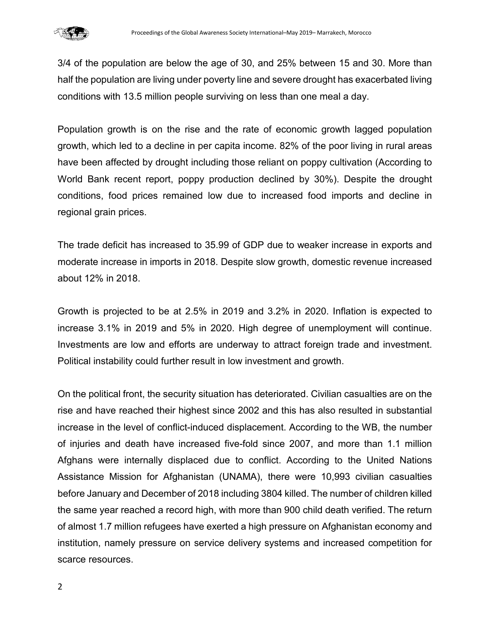

3/4 of the population are below the age of 30, and 25% between 15 and 30. More than half the population are living under poverty line and severe drought has exacerbated living conditions with 13.5 million people surviving on less than one meal a day.

Population growth is on the rise and the rate of economic growth lagged population growth, which led to a decline in per capita income. 82% of the poor living in rural areas have been affected by drought including those reliant on poppy cultivation (According to World Bank recent report, poppy production declined by 30%). Despite the drought conditions, food prices remained low due to increased food imports and decline in regional grain prices.

The trade deficit has increased to 35.99 of GDP due to weaker increase in exports and moderate increase in imports in 2018. Despite slow growth, domestic revenue increased about 12% in 2018.

Growth is projected to be at 2.5% in 2019 and 3.2% in 2020. Inflation is expected to increase 3.1% in 2019 and 5% in 2020. High degree of unemployment will continue. Investments are low and efforts are underway to attract foreign trade and investment. Political instability could further result in low investment and growth.

On the political front, the security situation has deteriorated. Civilian casualties are on the rise and have reached their highest since 2002 and this has also resulted in substantial increase in the level of conflict-induced displacement. According to the WB, the number of injuries and death have increased five-fold since 2007, and more than 1.1 million Afghans were internally displaced due to conflict. According to the United Nations Assistance Mission for Afghanistan (UNAMA), there were 10,993 civilian casualties before January and December of 2018 including 3804 killed. The number of children killed the same year reached a record high, with more than 900 child death verified. The return of almost 1.7 million refugees have exerted a high pressure on Afghanistan economy and institution, namely pressure on service delivery systems and increased competition for scarce resources.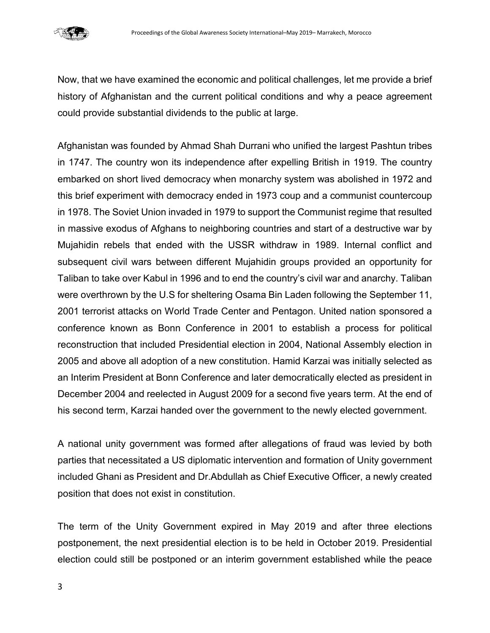

Now, that we have examined the economic and political challenges, let me provide a brief history of Afghanistan and the current political conditions and why a peace agreement could provide substantial dividends to the public at large.

Afghanistan was founded by Ahmad Shah Durrani who unified the largest Pashtun tribes in 1747. The country won its independence after expelling British in 1919. The country embarked on short lived democracy when monarchy system was abolished in 1972 and this brief experiment with democracy ended in 1973 coup and a communist countercoup in 1978. The Soviet Union invaded in 1979 to support the Communist regime that resulted in massive exodus of Afghans to neighboring countries and start of a destructive war by Mujahidin rebels that ended with the USSR withdraw in 1989. Internal conflict and subsequent civil wars between different Mujahidin groups provided an opportunity for Taliban to take over Kabul in 1996 and to end the country's civil war and anarchy. Taliban were overthrown by the U.S for sheltering Osama Bin Laden following the September 11, 2001 terrorist attacks on World Trade Center and Pentagon. United nation sponsored a conference known as Bonn Conference in 2001 to establish a process for political reconstruction that included Presidential election in 2004, National Assembly election in 2005 and above all adoption of a new constitution. Hamid Karzai was initially selected as an Interim President at Bonn Conference and later democratically elected as president in December 2004 and reelected in August 2009 for a second five years term. At the end of his second term, Karzai handed over the government to the newly elected government.

A national unity government was formed after allegations of fraud was levied by both parties that necessitated a US diplomatic intervention and formation of Unity government included Ghani as President and Dr.Abdullah as Chief Executive Officer, a newly created position that does not exist in constitution.

The term of the Unity Government expired in May 2019 and after three elections postponement, the next presidential election is to be held in October 2019. Presidential election could still be postponed or an interim government established while the peace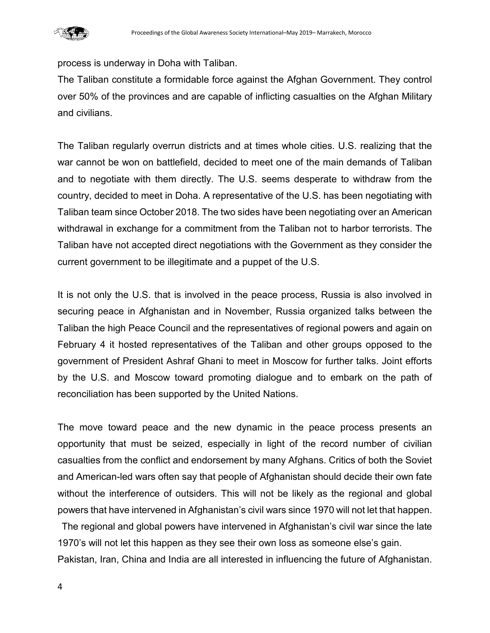process is underway in Doha with Taliban.

The Taliban constitute a formidable force against the Afghan Government. They control over 50% of the provinces and are capable of inflicting casualties on the Afghan Military and civilians.

The Taliban regularly overrun districts and at times whole cities. U.S. realizing that the war cannot be won on battlefield, decided to meet one of the main demands of Taliban and to negotiate with them directly. The U.S. seems desperate to withdraw from the country, decided to meet in Doha. A representative of the U.S. has been negotiating with Taliban team since October 2018. The two sides have been negotiating over an American withdrawal in exchange for a commitment from the Taliban not to harbor terrorists. The Taliban have not accepted direct negotiations with the Government as they consider the current government to be illegitimate and a puppet of the U.S.

It is not only the U.S. that is involved in the peace process, Russia is also involved in securing peace in Afghanistan and in November, Russia organized talks between the Taliban the high Peace Council and the representatives of regional powers and again on February 4 it hosted representatives of the Taliban and other groups opposed to the government of President Ashraf Ghani to meet in Moscow for further talks. Joint efforts by the U.S. and Moscow toward promoting dialogue and to embark on the path of reconciliation has been supported by the United Nations.

The move toward peace and the new dynamic in the peace process presents an opportunity that must be seized, especially in light of the record number of civilian casualties from the conflict and endorsement by many Afghans. Critics of both the Soviet and American-led wars often say that people of Afghanistan should decide their own fate without the interference of outsiders. This will not be likely as the regional and global powers that have intervened in Afghanistan's civil wars since 1970 will not let that happen.

The regional and global powers have intervened in Afghanistan's civil war since the late 1970's will not let this happen as they see their own loss as someone else's gain. Pakistan, Iran, China and India are all interested in influencing the future of Afghanistan.